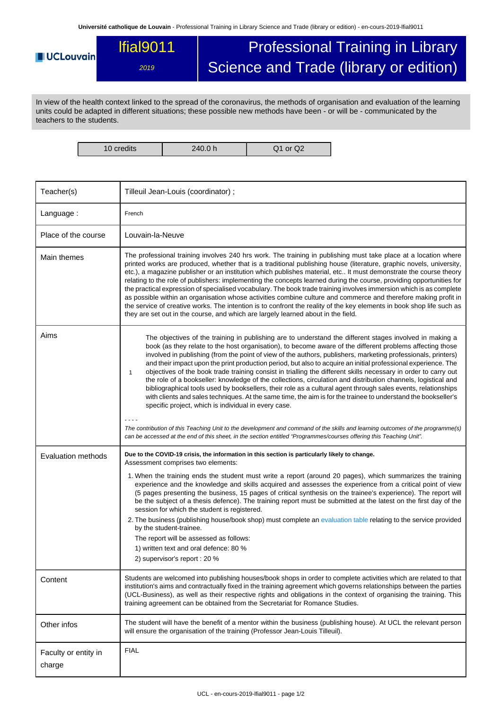**Université catholique de Louvain** - Professional Training in Library Science and Trade (library or edition) - en-cours-2019-lfial9011

## Professional Training in Library lfial9011 **UCLouvain** Science and Trade (library or edition) 2019

In view of the health context linked to the spread of the coronavirus, the methods of organisation and evaluation of the learning units could be adapted in different situations; these possible new methods have been - or will be - communicated by the teachers to the students.

10 credits 240.0 h Q1 or Q2

| Teacher(s)                     | Tilleuil Jean-Louis (coordinator);                                                                                                                                                                                                                                                                                                                                                                                                                                                                                                                                                                                                                                                                                                                                                                                                                                                                                                                                                                                                                                                                                                                                                                                                                   |  |  |  |  |
|--------------------------------|------------------------------------------------------------------------------------------------------------------------------------------------------------------------------------------------------------------------------------------------------------------------------------------------------------------------------------------------------------------------------------------------------------------------------------------------------------------------------------------------------------------------------------------------------------------------------------------------------------------------------------------------------------------------------------------------------------------------------------------------------------------------------------------------------------------------------------------------------------------------------------------------------------------------------------------------------------------------------------------------------------------------------------------------------------------------------------------------------------------------------------------------------------------------------------------------------------------------------------------------------|--|--|--|--|
| Language:                      | French                                                                                                                                                                                                                                                                                                                                                                                                                                                                                                                                                                                                                                                                                                                                                                                                                                                                                                                                                                                                                                                                                                                                                                                                                                               |  |  |  |  |
| Place of the course            | Louvain-la-Neuve                                                                                                                                                                                                                                                                                                                                                                                                                                                                                                                                                                                                                                                                                                                                                                                                                                                                                                                                                                                                                                                                                                                                                                                                                                     |  |  |  |  |
| Main themes                    | The professional training involves 240 hrs work. The training in publishing must take place at a location where<br>printed works are produced, whether that is a traditional publishing house (literature, graphic novels, university,<br>etc.), a magazine publisher or an institution which publishes material, etc It must demonstrate the course theory<br>relating to the role of publishers: implementing the concepts learned during the course, providing opportunities for<br>the practical expression of specialised vocabulary. The book trade training involves immersion which is as complete<br>as possible within an organisation whose activities combine culture and commerce and therefore making profit in<br>the service of creative works. The intention is to confront the reality of the key elements in book shop life such as<br>they are set out in the course, and which are largely learned about in the field.                                                                                                                                                                                                                                                                                                          |  |  |  |  |
| Aims                           | The objectives of the training in publishing are to understand the different stages involved in making a<br>book (as they relate to the host organisation), to become aware of the different problems affecting those<br>involved in publishing (from the point of view of the authors, publishers, marketing professionals, printers)<br>and their impact upon the print production period, but also to acquire an initial professional experience. The<br>objectives of the book trade training consist in trialling the different skills necessary in order to carry out<br>1<br>the role of a bookseller: knowledge of the collections, circulation and distribution channels, logistical and<br>bibliographical tools used by booksellers, their role as a cultural agent through sales events, relationships<br>with clients and sales techniques. At the same time, the aim is for the trainee to understand the bookseller's<br>specific project, which is individual in every case.<br>The contribution of this Teaching Unit to the development and command of the skills and learning outcomes of the programme(s)<br>can be accessed at the end of this sheet, in the section entitled "Programmes/courses offering this Teaching Unit". |  |  |  |  |
| <b>Evaluation methods</b>      | Due to the COVID-19 crisis, the information in this section is particularly likely to change.<br>Assessment comprises two elements:                                                                                                                                                                                                                                                                                                                                                                                                                                                                                                                                                                                                                                                                                                                                                                                                                                                                                                                                                                                                                                                                                                                  |  |  |  |  |
|                                | 1. When the training ends the student must write a report (around 20 pages), which summarizes the training<br>experience and the knowledge and skills acquired and assesses the experience from a critical point of view<br>(5 pages presenting the business, 15 pages of critical synthesis on the trainee's experience). The report will<br>be the subject of a thesis defence). The training report must be submitted at the latest on the first day of the<br>session for which the student is registered.<br>2. The business (publishing house/book shop) must complete an evaluation table relating to the service provided<br>by the student-trainee.<br>The report will be assessed as follows:<br>1) written text and oral defence: 80 %<br>2) supervisor's report : 20 %                                                                                                                                                                                                                                                                                                                                                                                                                                                                   |  |  |  |  |
| Content                        | Students are welcomed into publishing houses/book shops in order to complete activities which are related to that<br>institution's aims and contractually fixed in the training agreement which governs relationships between the parties<br>(UCL-Business), as well as their respective rights and obligations in the context of organising the training. This<br>training agreement can be obtained from the Secretariat for Romance Studies.                                                                                                                                                                                                                                                                                                                                                                                                                                                                                                                                                                                                                                                                                                                                                                                                      |  |  |  |  |
| Other infos                    | The student will have the benefit of a mentor within the business (publishing house). At UCL the relevant person<br>will ensure the organisation of the training (Professor Jean-Louis Tilleuil).                                                                                                                                                                                                                                                                                                                                                                                                                                                                                                                                                                                                                                                                                                                                                                                                                                                                                                                                                                                                                                                    |  |  |  |  |
| Faculty or entity in<br>charge | <b>FIAL</b>                                                                                                                                                                                                                                                                                                                                                                                                                                                                                                                                                                                                                                                                                                                                                                                                                                                                                                                                                                                                                                                                                                                                                                                                                                          |  |  |  |  |